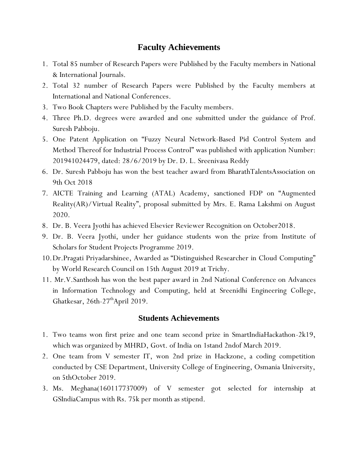## **Faculty Achievements**

- 1. Total 85 number of Research Papers were Published by the Faculty members in National & International Journals.
- 2. Total 32 number of Research Papers were Published by the Faculty members at International and National Conferences.
- 3. Two Book Chapters were Published by the Faculty members.
- 4. Three Ph.D. degrees were awarded and one submitted under the guidance of Prof. Suresh Pabboju.
- 5. One Patent Application on "Fuzzy Neural Network-Based Pid Control System and Method Thereof for Industrial Process Control" was published with application Number: 201941024479, dated: 28/6/2019 by Dr. D. L. Sreenivasa Reddy
- 6. Dr. Suresh Pabboju has won the best teacher award from BharathTalentsAssociation on 9th Oct 2018
- 7. AICTE Training and Learning (ATAL) Academy, sanctioned FDP on "Augmented Reality(AR)/Virtual Reality", proposal submitted by Mrs. E. Rama Lakshmi on August 2020.
- 8. Dr. B. Veera Jyothi has achieved Elsevier Reviewer Recognition on October2018.
- 9. Dr. B. Veera Jyothi, under her guidance students won the prize from Institute of Scholars for Student Projects Programme 2019.
- 10.Dr.Pragati Priyadarshinee, Awarded as "Distinguished Researcher in Cloud Computing" by World Research Council on 15th August 2019 at Trichy.
- 11. Mr.V.Santhosh has won the best paper award in 2nd National Conference on Advances in Information Technology and Computing, held at Sreenidhi Engineering College, Ghatkesar, 26th-27<sup>th</sup>April 2019.

## **Students Achievements**

- 1. Two teams won first prize and one team second prize in SmartIndiaHackathon-2k19, which was organized by MHRD, Govt. of India on 1stand 2ndof March 2019.
- 2. One team from V semester IT, won 2nd prize in Hackzone, a coding competition conducted by CSE Department, University College of Engineering, Osmania University, on 5thOctober 2019.
- 3. Ms. Meghana(160117737009) of V semester got selected for internship at GSIndiaCampus with Rs. 75k per month as stipend.